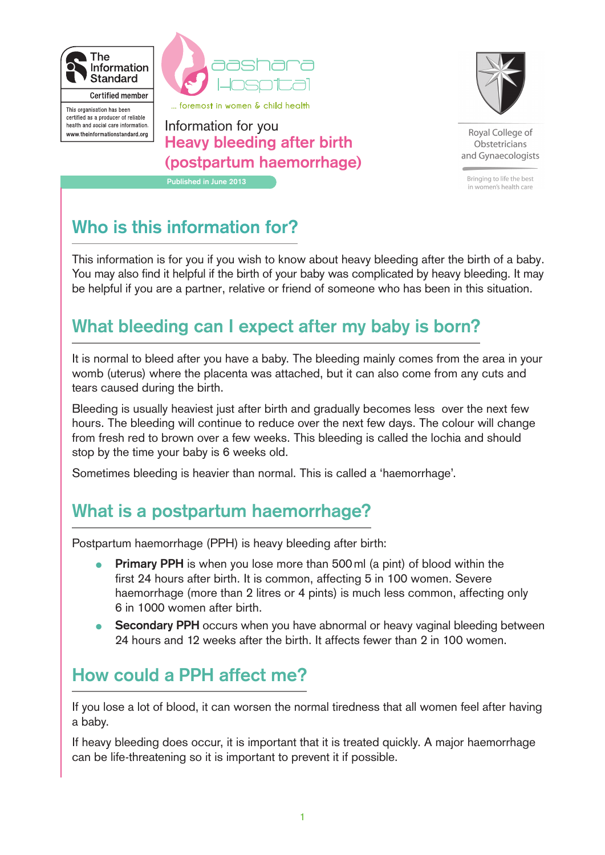



... foremost in women & child health

This organisation has been certified as a producer of reliable health and social care information. www.theinformationstandard.org

Information for you **Heavy bleeding after birth (postpartum haemorrhage) Published in June 2013**



Royal College of Obstetricians and Gynaecologists

Bringing to life the best in women's health care

# **Who is this information for?**

This information is for you if you wish to know about heavy bleeding after the birth of a baby. You may also find it helpful if the birth of your baby was complicated by heavy bleeding. It may be helpful if you are a partner, relative or friend of someone who has been in this situation.

## **What bleeding can I expect after my baby is born?**

It is normal to bleed after you have a baby. The bleeding mainly comes from the area in your womb (uterus) where the placenta was attached, but it can also come from any cuts and tears caused during the birth.

Bleeding is usually heaviest just after birth and gradually becomes less over the next few hours. The bleeding will continue to reduce over the next few days. The colour will change from fresh red to brown over a few weeks. This bleeding is called the lochia and should stop by the time your baby is 6 weeks old.

Sometimes bleeding is heavier than normal. This is called a 'haemorrhage'.

## **What is a postpartum haemorrhage?**

Postpartum haemorrhage (PPH) is heavy bleeding after birth:

- **Primary PPH** is when you lose more than 500 ml (a pint) of blood within the first 24 hours after birth. It is common, affecting 5 in 100 women. Severe haemorrhage (more than 2 litres or 4 pints) is much less common, affecting only 6 in 1000 women after birth. •
- **Secondary PPH** occurs when you have abnormal or heavy vaginal bleeding between 24 hours and 12 weeks after the birth. It affects fewer than 2 in 100 women. •

## **How could a PPH affect me?**

If you lose a lot of blood, it can worsen the normal tiredness that all women feel after having a baby.

If heavy bleeding does occur, it is important that it is treated quickly. A major haemorrhage can be life-threatening so it is important to prevent it if possible.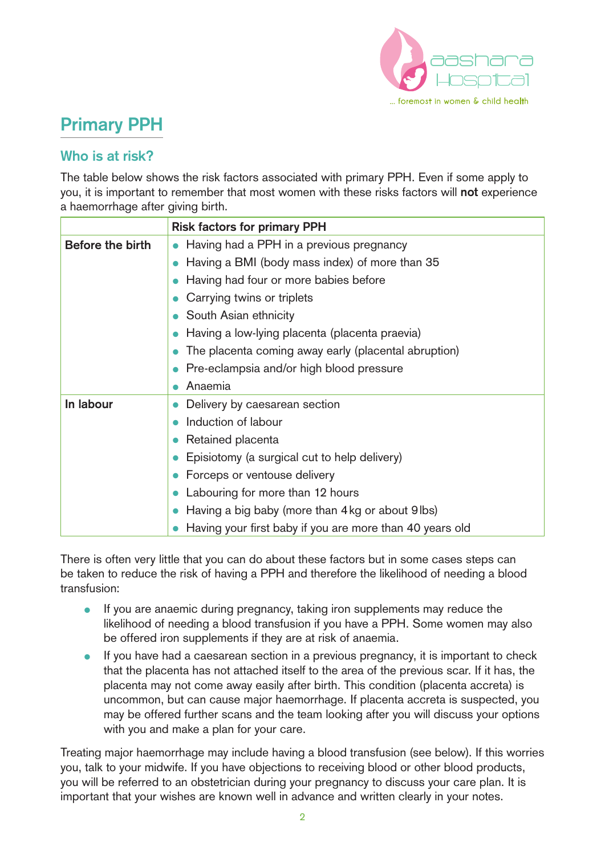

# **Primary PPH**

### **Who is at risk?**

The table below shows the risk factors associated with primary PPH. Even if some apply to you, it is important to remember that most women with these risks factors will **not** experience a haemorrhage after giving birth.

|                  | <b>Risk factors for primary PPH</b>                      |
|------------------|----------------------------------------------------------|
| Before the birth | Having had a PPH in a previous pregnancy                 |
|                  | Having a BMI (body mass index) of more than 35           |
|                  | Having had four or more babies before                    |
|                  | Carrying twins or triplets                               |
|                  | South Asian ethnicity                                    |
|                  | Having a low-lying placenta (placenta praevia)           |
|                  | The placenta coming away early (placental abruption)     |
|                  | Pre-eclampsia and/or high blood pressure                 |
|                  | Anaemia                                                  |
| In labour        | Delivery by caesarean section                            |
|                  | Induction of labour                                      |
|                  | Retained placenta                                        |
|                  | Episiotomy (a surgical cut to help delivery)             |
|                  | Forceps or ventouse delivery                             |
|                  | Labouring for more than 12 hours                         |
|                  | Having a big baby (more than 4 kg or about 9 lbs)        |
|                  | Having your first baby if you are more than 40 years old |

There is often very little that you can do about these factors but in some cases steps can be taken to reduce the risk of having a PPH and therefore the likelihood of needing a blood transfusion:

- If you are anaemic during pregnancy, taking iron supplements may reduce the likelihood of needing a blood transfusion if you have a PPH. Some women may also be offered iron supplements if they are at risk of anaemia.
- If you have had a caesarean section in a previous pregnancy, it is important to check that the placenta has not attached itself to the area of the previous scar. If it has, the placenta may not come away easily after birth. This condition (placenta accreta) is uncommon, but can cause major haemorrhage. If placenta accreta is suspected, you may be offered further scans and the team looking after you will discuss your options with you and make a plan for your care.

Treating major haemorrhage may include having a blood transfusion (see below). If this worries you, talk to your midwife. If you have objections to receiving blood or other blood products, you will be referred to an obstetrician during your pregnancy to discuss your care plan. It is important that your wishes are known well in advance and written clearly in your notes.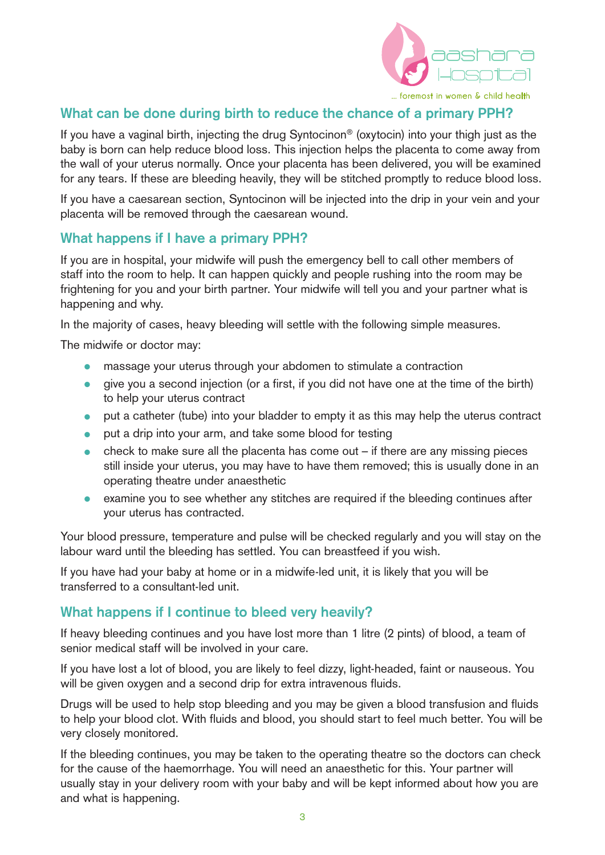

### **What can be done during birth to reduce the chance of a primary PPH?**

If you have a vaginal birth, injecting the drug Syntocinon® (oxytocin) into your thigh just as the baby is born can help reduce blood loss. This injection helps the placenta to come away from the wall of your uterus normally. Once your placenta has been delivered, you will be examined for any tears. If these are bleeding heavily, they will be stitched promptly to reduce blood loss.

If you have a caesarean section, Syntocinon will be injected into the drip in your vein and your placenta will be removed through the caesarean wound.

#### **What happens if I have a primary PPH?**

If you are in hospital, your midwife will push the emergency bell to call other members of staff into the room to help. It can happen quickly and people rushing into the room may be frightening for you and your birth partner. Your midwife will tell you and your partner what is happening and why.

In the majority of cases, heavy bleeding will settle with the following simple measures.

The midwife or doctor may:

- massage your uterus through your abdomen to stimulate a contraction
- give you a second injection (or a first, if you did not have one at the time of the birth) to help your uterus contract
- put a catheter (tube) into your bladder to empty it as this may help the uterus contract
- put a drip into your arm, and take some blood for testing
- $\bullet$  check to make sure all the placenta has come out if there are any missing pieces still inside your uterus, you may have to have them removed; this is usually done in an operating theatre under anaesthetic
- examine you to see whether any stitches are required if the bleeding continues after your uterus has contracted.

Your blood pressure, temperature and pulse will be checked regularly and you will stay on the labour ward until the bleeding has settled. You can breastfeed if you wish.

If you have had your baby at home or in a midwife-led unit, it is likely that you will be transferred to a consultant-led unit.

#### **What happens if I continue to bleed very heavily?**

If heavy bleeding continues and you have lost more than 1 litre (2 pints) of blood, a team of senior medical staff will be involved in your care.

If you have lost a lot of blood, you are likely to feel dizzy, light-headed, faint or nauseous. You will be given oxygen and a second drip for extra intravenous fluids.

Drugs will be used to help stop bleeding and you may be given a blood transfusion and fluids to help your blood clot. With fluids and blood, you should start to feel much better. You will be very closely monitored.

If the bleeding continues, you may be taken to the operating theatre so the doctors can check for the cause of the haemorrhage. You will need an anaesthetic for this. Your partner will usually stay in your delivery room with your baby and will be kept informed about how you are and what is happening.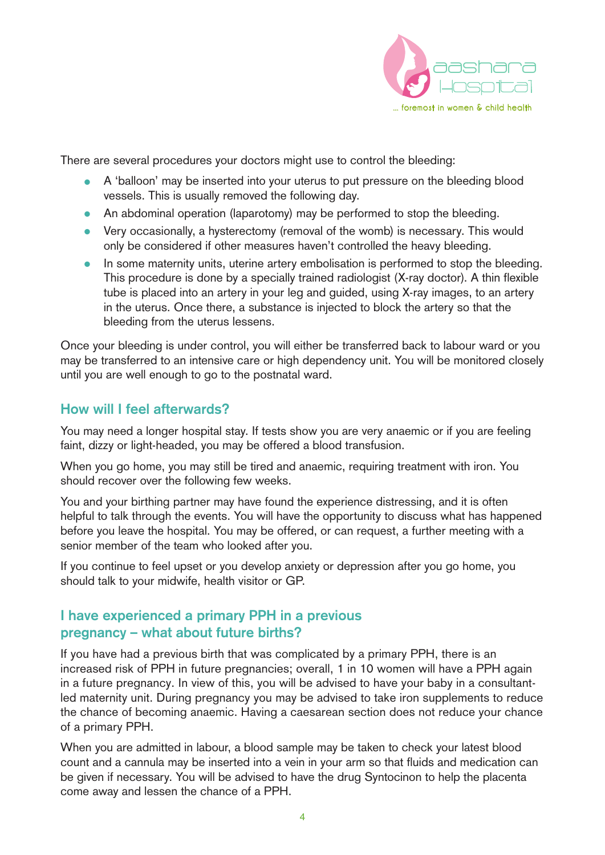

There are several procedures your doctors might use to control the bleeding:

- A 'balloon' may be inserted into your uterus to put pressure on the bleeding blood vessels. This is usually removed the following day.
- An abdominal operation (laparotomy) may be performed to stop the bleeding.
- Very occasionally, a hysterectomy (removal of the womb) is necessary. This would only be considered if other measures haven't controlled the heavy bleeding.
- In some maternity units, uterine artery embolisation is performed to stop the bleeding. This procedure is done by a specially trained radiologist (X-ray doctor). A thin flexible tube is placed into an artery in your leg and guided, using X-ray images, to an artery in the uterus. Once there, a substance is injected to block the artery so that the bleeding from the uterus lessens.

Once your bleeding is under control, you will either be transferred back to labour ward or you may be transferred to an intensive care or high dependency unit. You will be monitored closely until you are well enough to go to the postnatal ward.

### **How will I feel afterwards?**

You may need a longer hospital stay. If tests show you are very anaemic or if you are feeling faint, dizzy or light-headed, you may be offered a blood transfusion.

When you go home, you may still be tired and anaemic, requiring treatment with iron. You should recover over the following few weeks.

You and your birthing partner may have found the experience distressing, and it is often helpful to talk through the events. You will have the opportunity to discuss what has happened before you leave the hospital. You may be offered, or can request, a further meeting with a senior member of the team who looked after you.

If you continue to feel upset or you develop anxiety or depression after you go home, you should talk to your midwife, health visitor or GP.

### **I have experienced a primary PPH in a previous pregnancy – what about future births?**

If you have had a previous birth that was complicated by a primary PPH, there is an increased risk of PPH in future pregnancies; overall, 1 in 10 women will have a PPH again in a future pregnancy. In view of this, you will be advised to have your baby in a consultantled maternity unit. During pregnancy you may be advised to take iron supplements to reduce the chance of becoming anaemic. Having a caesarean section does not reduce your chance of a primary PPH.

When you are admitted in labour, a blood sample may be taken to check your latest blood count and a cannula may be inserted into a vein in your arm so that fluids and medication can be given if necessary. You will be advised to have the drug Syntocinon to help the placenta come away and lessen the chance of a PPH.